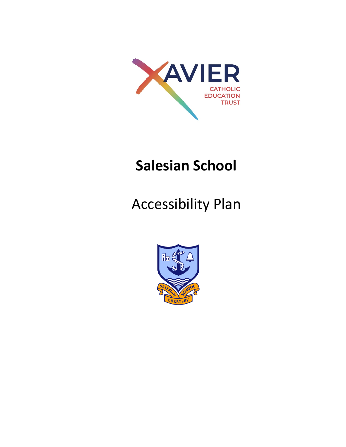

## **Salesian School**

## Accessibility Plan

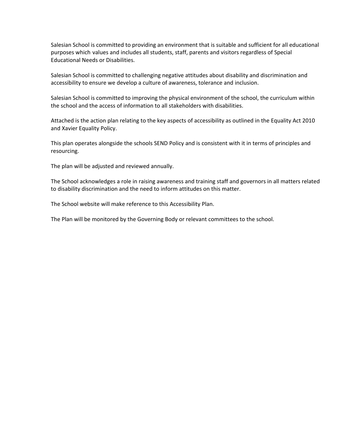Salesian School is committed to providing an environment that is suitable and sufficient for all educational purposes which values and includes all students, staff, parents and visitors regardless of Special Educational Needs or Disabilities.

Salesian School is committed to challenging negative attitudes about disability and discrimination and accessibility to ensure we develop a culture of awareness, tolerance and inclusion.

Salesian School is committed to improving the physical environment of the school, the curriculum within the school and the access of information to all stakeholders with disabilities.

Attached is the action plan relating to the key aspects of accessibility as outlined in the Equality Act 2010 and Xavier Equality Policy.

This plan operates alongside the schools SEND Policy and is consistent with it in terms of principles and resourcing.

The plan will be adjusted and reviewed annually.

The School acknowledges a role in raising awareness and training staff and governors in all matters related to disability discrimination and the need to inform attitudes on this matter.

The School website will make reference to this Accessibility Plan.

The Plan will be monitored by the Governing Body or relevant committees to the school.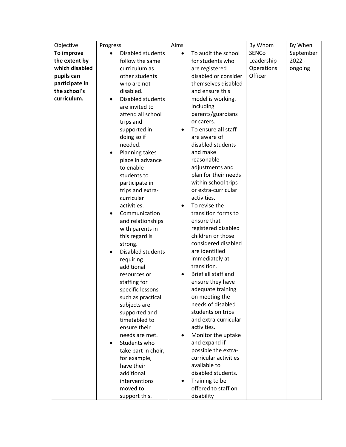| By Whom<br>Objective<br>Progress                                                          | By When   |
|-------------------------------------------------------------------------------------------|-----------|
| SENCo<br>To improve<br>Disabled students<br>To audit the school<br>$\bullet$<br>$\bullet$ | September |
| the extent by<br>follow the same<br>for students who<br>Leadership                        | $2022 -$  |
| which disabled<br>Operations<br>curriculum as<br>are registered                           | ongoing   |
| Officer<br>pupils can<br>other students<br>disabled or consider                           |           |
| participate in<br>themselves disabled<br>who are not                                      |           |
| the school's<br>disabled.<br>and ensure this                                              |           |
| curriculum.<br>Disabled students<br>model is working.<br>$\bullet$                        |           |
| Including<br>are invited to                                                               |           |
| parents/guardians<br>attend all school                                                    |           |
| trips and<br>or carers.                                                                   |           |
| To ensure all staff<br>supported in                                                       |           |
| doing so if<br>are aware of                                                               |           |
| needed.<br>disabled students                                                              |           |
| and make<br>Planning takes<br>٠                                                           |           |
| reasonable<br>place in advance                                                            |           |
| adjustments and<br>to enable                                                              |           |
| plan for their needs<br>students to                                                       |           |
| within school trips<br>participate in                                                     |           |
| or extra-curricular<br>trips and extra-                                                   |           |
| curricular<br>activities.                                                                 |           |
| activities.<br>To revise the                                                              |           |
| transition forms to<br>Communication                                                      |           |
| ensure that<br>and relationships                                                          |           |
| registered disabled<br>with parents in                                                    |           |
| children or those<br>this regard is                                                       |           |
| considered disabled<br>strong.                                                            |           |
| are identified<br>Disabled students<br>$\bullet$                                          |           |
| immediately at<br>requiring                                                               |           |
| transition.<br>additional                                                                 |           |
| Brief all staff and<br>resources or                                                       |           |
| ensure they have<br>staffing for                                                          |           |
| adequate training<br>specific lessons                                                     |           |
| on meeting the<br>such as practical                                                       |           |
| needs of disabled<br>subjects are                                                         |           |
| students on trips<br>supported and                                                        |           |
| timetabled to<br>and extra-curricular<br>activities.                                      |           |
| ensure their                                                                              |           |
| needs are met.<br>Monitor the uptake                                                      |           |
| and expand if<br>Students who<br>$\bullet$<br>possible the extra-                         |           |
| take part in choir,<br>curricular activities                                              |           |
| for example,<br>available to                                                              |           |
| have their<br>disabled students.<br>additional                                            |           |
| Training to be<br>interventions                                                           |           |
| moved to<br>offered to staff on                                                           |           |
| disability<br>support this.                                                               |           |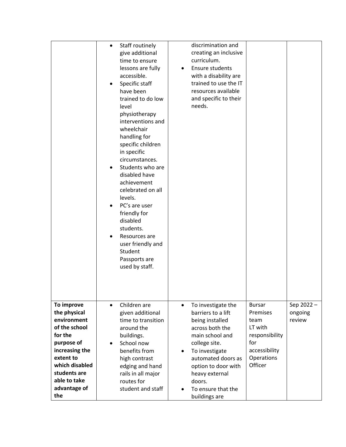|                             | $\bullet$ | Staff routinely                        |           | discrimination and           |                       |           |
|-----------------------------|-----------|----------------------------------------|-----------|------------------------------|-----------------------|-----------|
|                             |           | give additional                        |           | creating an inclusive        |                       |           |
|                             |           | time to ensure                         |           | curriculum.                  |                       |           |
|                             |           | lessons are fully                      |           | Ensure students              |                       |           |
|                             |           |                                        | $\bullet$ |                              |                       |           |
|                             |           | accessible.                            |           | with a disability are        |                       |           |
|                             |           | Specific staff                         |           | trained to use the IT        |                       |           |
|                             |           | have been                              |           | resources available          |                       |           |
|                             |           | trained to do low                      |           | and specific to their        |                       |           |
|                             |           | level                                  |           | needs.                       |                       |           |
|                             |           | physiotherapy                          |           |                              |                       |           |
|                             |           | interventions and                      |           |                              |                       |           |
|                             |           | wheelchair                             |           |                              |                       |           |
|                             |           | handling for                           |           |                              |                       |           |
|                             |           | specific children                      |           |                              |                       |           |
|                             |           | in specific                            |           |                              |                       |           |
|                             |           | circumstances.                         |           |                              |                       |           |
|                             |           | Students who are                       |           |                              |                       |           |
|                             |           | disabled have                          |           |                              |                       |           |
|                             |           | achievement                            |           |                              |                       |           |
|                             |           | celebrated on all                      |           |                              |                       |           |
|                             |           | levels.                                |           |                              |                       |           |
|                             |           | PC's are user                          |           |                              |                       |           |
|                             |           | friendly for                           |           |                              |                       |           |
|                             |           | disabled                               |           |                              |                       |           |
|                             |           | students.                              |           |                              |                       |           |
|                             |           | Resources are                          |           |                              |                       |           |
|                             |           | user friendly and                      |           |                              |                       |           |
|                             |           | Student                                |           |                              |                       |           |
|                             |           | Passports are                          |           |                              |                       |           |
|                             |           | used by staff.                         |           |                              |                       |           |
|                             |           |                                        |           |                              |                       |           |
|                             |           |                                        |           |                              |                       |           |
|                             |           |                                        |           |                              |                       |           |
|                             |           |                                        |           |                              |                       |           |
| To improve                  | $\bullet$ | Children are                           | $\bullet$ | To investigate the           | <b>Bursar</b>         | Sep 2022- |
| the physical                |           |                                        |           |                              |                       | ongoing   |
| environment                 |           |                                        |           | barriers to a lift           | Premises              |           |
| of the school               |           | given additional<br>time to transition |           |                              | team                  | review    |
| for the                     |           |                                        |           | being installed              | LT with               |           |
| purpose of                  |           | around the                             |           | across both the              |                       |           |
|                             | $\bullet$ | buildings.                             |           | main school and              | responsibility<br>for |           |
|                             |           | School now                             | $\bullet$ | college site.                |                       |           |
| increasing the<br>extent to |           | benefits from                          |           | To investigate               | accessibility         |           |
| which disabled              |           | high contrast                          |           | automated doors as           | Operations<br>Officer |           |
| students are                |           | edging and hand                        |           | option to door with          |                       |           |
| able to take                |           | rails in all major                     |           | heavy external               |                       |           |
| advantage of                |           | routes for<br>student and staff        |           | doors.<br>To ensure that the |                       |           |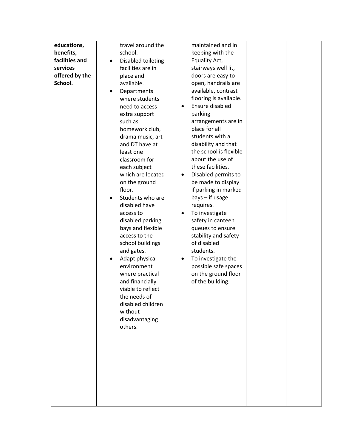| educations,    | travel around the             | maintained and in               |  |
|----------------|-------------------------------|---------------------------------|--|
| benefits,      | school.                       | keeping with the                |  |
| facilities and | Disabled toileting            | Equality Act,                   |  |
| services       | facilities are in             | stairways well lit,             |  |
| offered by the | place and                     | doors are easy to               |  |
| School.        | available.                    | open, handrails are             |  |
|                | Departments<br>$\bullet$      | available, contrast             |  |
|                | where students                | flooring is available.          |  |
|                | need to access                | Ensure disabled                 |  |
|                | extra support                 | parking                         |  |
|                | such as                       | arrangements are in             |  |
|                | homework club,                | place for all                   |  |
|                | drama music, art              | students with a                 |  |
|                | and DT have at                | disability and that             |  |
|                | least one                     | the school is flexible          |  |
|                | classroom for                 | about the use of                |  |
|                | each subject                  | these facilities.               |  |
|                | which are located             | Disabled permits to             |  |
|                | on the ground                 | be made to display              |  |
|                | floor.                        | if parking in marked            |  |
|                | Students who are<br>$\bullet$ | $bays - if usage$               |  |
|                | disabled have                 | requires.                       |  |
|                | access to                     | To investigate                  |  |
|                | disabled parking              | safety in canteen               |  |
|                | bays and flexible             | queues to ensure                |  |
|                | access to the                 | stability and safety            |  |
|                | school buildings              | of disabled                     |  |
|                | and gates.                    | students.                       |  |
|                | Adapt physical<br>$\bullet$   | To investigate the<br>$\bullet$ |  |
|                | environment                   | possible safe spaces            |  |
|                | where practical               | on the ground floor             |  |
|                | and financially               | of the building.                |  |
|                | viable to reflect             |                                 |  |
|                | the needs of                  |                                 |  |
|                | disabled children             |                                 |  |
|                | without                       |                                 |  |
|                | disadvantaging                |                                 |  |
|                | others.                       |                                 |  |
|                |                               |                                 |  |
|                |                               |                                 |  |
|                |                               |                                 |  |
|                |                               |                                 |  |
|                |                               |                                 |  |
|                |                               |                                 |  |
|                |                               |                                 |  |
|                |                               |                                 |  |
|                |                               |                                 |  |
|                |                               |                                 |  |